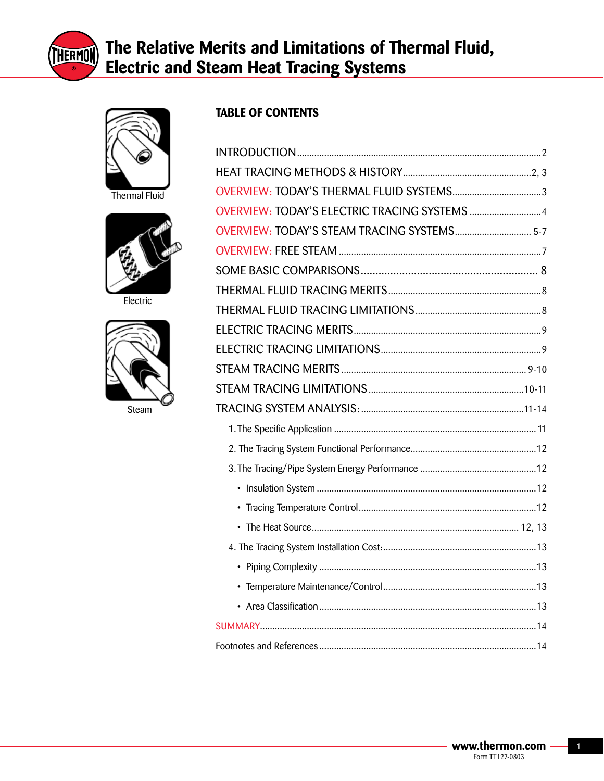



Thermal Fluid



Electric



Steam

## **TABLE OF CONTENTS**

| OVERVIEW: TODAY'S ELECTRIC TRACING SYSTEMS  4 |  |
|-----------------------------------------------|--|
| OVERVIEW: TODAY'S STEAM TRACING SYSTEMS 5-7   |  |
|                                               |  |
|                                               |  |
|                                               |  |
|                                               |  |
|                                               |  |
|                                               |  |
|                                               |  |
|                                               |  |
|                                               |  |
|                                               |  |
|                                               |  |
|                                               |  |
|                                               |  |
|                                               |  |
|                                               |  |
|                                               |  |
|                                               |  |
|                                               |  |
|                                               |  |
|                                               |  |
|                                               |  |
|                                               |  |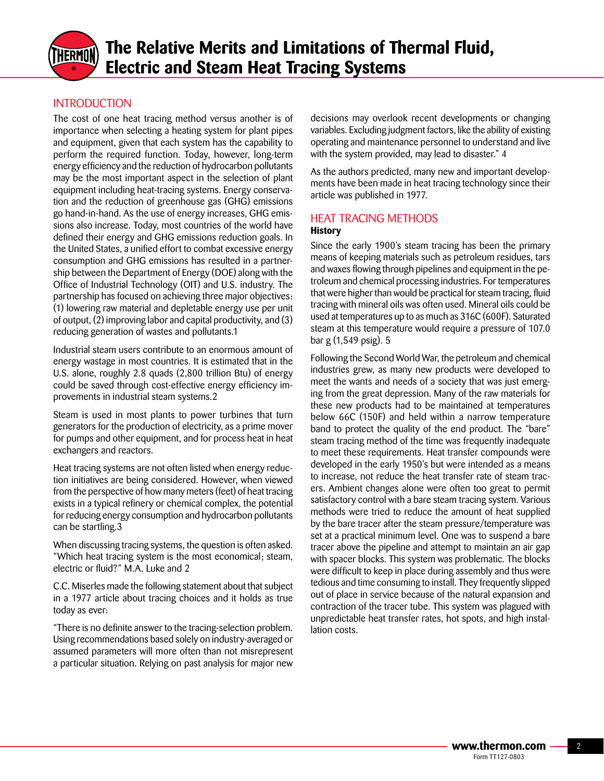

## INTRODUCTION

The cost of one heat tracing method versus another is of importance when selecting a heating system for plant pipes and equipment, given that each system has the capability to perform the required function. Today, however, long-term energy efficiency and the reduction of hydrocarbon pollutants may be the most important aspect in the selection of plant equipment including heat-tracing systems. Energy conservation and the reduction of greenhouse gas (GHG) emissions go hand-in-hand. As the use of energy increases, GHG emissions also increase. Today, most countries of the world have defined their energy and GHG emissions reduction goals. In the United States, a unified effort to combat excessive energy consumption and GHG emissions has resulted in a partnership between the Department of Energy (DOE) along with the Office of Industrial Technology (OIT) and U.S. industry. The partnership has focused on achieving three major objectives: (1) lowering raw material and depletable energy use per unit of output, (2) improving labor and capital productivity, and (3) reducing generation of wastes and pollutants.1

Industrial steam users contribute to an enormous amount of energy wastage in most countries. It is estimated that in the U.S. alone, roughly 2.8 quads (2,800 trillion Btu) of energy could be saved through cost-effective energy efficiency improvements in industrial steam systems.2

Steam is used in most plants to power turbines that turn generators for the production of electricity, as a prime mover for pumps and other equipment, and for process heat in heat exchangers and reactors.

Heat tracing systems are not often listed when energy reduction initiatives are being considered. However, when viewed from the perspective of how many meters (feet) of heat tracing exists in a typical refinery or chemical complex, the potential for reducing energy consumption and hydrocarbon pollutants can be startling.3

When discussing tracing systems, the question is often asked. "Which heat tracing system is the most economical; steam, electric or fluid?" M.A. Luke and 2

C.C. Miserles made the following statement about that subject in a 1977 article about tracing choices and it holds as true today as ever:

"There is no definite answer to the tracing-selection problem. Using recommendations based solely on industry-averaged or assumed parameters will more often than not misrepresent a particular situation. Relying on past analysis for major new decisions may overlook recent developments or changing variables. Excluding judgment factors, like the ability of existing operating and maintenance personnel to understand and live with the system provided, may lead to disaster." 4

As the authors predicted, many new and important developments have been made in heat tracing technology since their article was published in 1977.

## HEAT TRACING METHODS

#### **History**

Since the early 1900's steam tracing has been the primary means of keeping materials such as petroleum residues, tars and waxes flowing through pipelines and equipment in the petroleum and chemical processing industries. For temperatures that were higher than would be practical for steam tracing, fluid tracing with mineral oils was often used. Mineral oils could be used at temperatures up to as much as 316C (600F). Saturated steam at this temperature would require a pressure of 107.0 bar g (1,549 psig). 5

Following the Second World War, the petroleum and chemical industries grew, as many new products were developed to meet the wants and needs of a society that was just emerging from the great depression. Many of the raw materials for these new products had to be maintained at temperatures below 66C (150F) and held within a narrow temperature band to protect the quality of the end product. The "bare" steam tracing method of the time was frequently inadequate to meet these requirements. Heat transfer compounds were developed in the early 1950's but were intended as a means to increase, not reduce the heat transfer rate of steam tracers. Ambient changes alone were often too great to permit satisfactory control with a bare steam tracing system. Various methods were tried to reduce the amount of heat supplied by the bare tracer after the steam pressure/temperature was set at a practical minimum level. One was to suspend a bare tracer above the pipeline and attempt to maintain an air gap with spacer blocks. This system was problematic. The blocks were difficult to keep in place during assembly and thus were tedious and time consuming to install. They frequently slipped out of place in service because of the natural expansion and contraction of the tracer tube. This system was plagued with unpredictable heat transfer rates, hot spots, and high installation costs.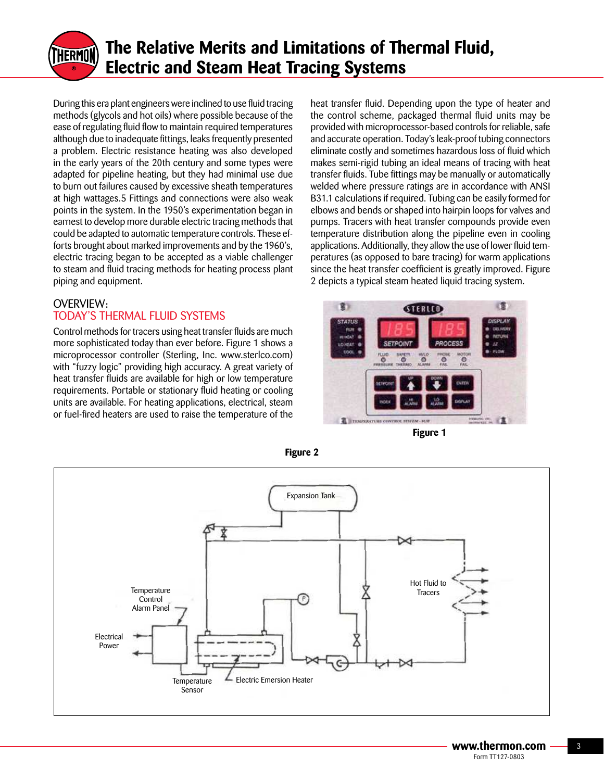

During this era plant engineers were inclined to use fluid tracing methods (glycols and hot oils) where possible because of the ease of regulating fluid flow to maintain required temperatures although due to inadequate fittings, leaks frequently presented a problem. Electric resistance heating was also developed in the early years of the 20th century and some types were adapted for pipeline heating, but they had minimal use due to burn out failures caused by excessive sheath temperatures at high wattages.5 Fittings and connections were also weak points in the system. In the 1950's experimentation began in earnest to develop more durable electric tracing methods that could be adapted to automatic temperature controls. These efforts brought about marked improvements and by the 1960's, electric tracing began to be accepted as a viable challenger to steam and fluid tracing methods for heating process plant piping and equipment.

## OVERVIEW: TODAY'S THERMAL FLUID SYSTEMS

Control methods for tracers using heat transfer fluids are much more sophisticated today than ever before. Figure 1 shows a microprocessor controller (Sterling, Inc. www.sterlco.com) with "fuzzy logic" providing high accuracy. A great variety of heat transfer fluids are available for high or low temperature requirements. Portable or stationary fluid heating or cooling units are available. For heating applications, electrical, steam or fuel-fired heaters are used to raise the temperature of the heat transfer fluid. Depending upon the type of heater and the control scheme, packaged thermal fluid units may be provided with microprocessor-based controls for reliable, safe and accurate operation. Today's leak-proof tubing connectors eliminate costly and sometimes hazardous loss of fluid which makes semi-rigid tubing an ideal means of tracing with heat transfer fluids. Tube fittings may be manually or automatically welded where pressure ratings are in accordance with ANSI B31.1 calculations if required. Tubing can be easily formed for elbows and bends or shaped into hairpin loops for valves and pumps. Tracers with heat transfer compounds provide even temperature distribution along the pipeline even in cooling applications. Additionally, they allow the use of lower fluid temperatures (as opposed to bare tracing) for warm applications since the heat transfer coefficient is greatly improved. Figure 2 depicts a typical steam heated liquid tracing system.



**Figure 1**



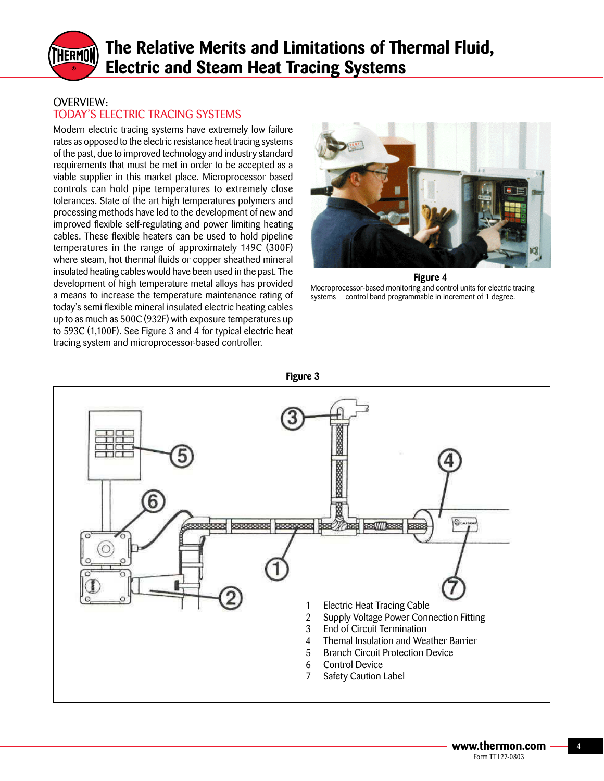

## OVERVIEW: TODAY'S ELECTRIC TRACING SYSTEMS

Modern electric tracing systems have extremely low failure rates as opposed to the electric resistance heat tracing systems of the past, due to improved technology and industry standard requirements that must be met in order to be accepted as a viable supplier in this market place. Microprocessor based controls can hold pipe temperatures to extremely close tolerances. State of the art high temperatures polymers and processing methods have led to the development of new and improved flexible self-regulating and power limiting heating cables. These flexible heaters can be used to hold pipeline temperatures in the range of approximately 149C (300F) where steam, hot thermal fluids or copper sheathed mineral insulated heating cables would have been used in the past. The development of high temperature metal alloys has provided a means to increase the temperature maintenance rating of today's semi flexible mineral insulated electric heating cables up to as much as 500C (932F) with exposure temperatures up to 593C (1,100F). See Figure 3 and 4 for typical electric heat tracing system and microprocessor-based controller.



**Figure 4** Mocroprocessor-based monitoring and control units for electric tracing systems — control band programmable in increment of 1 degree.

**Figure 3**

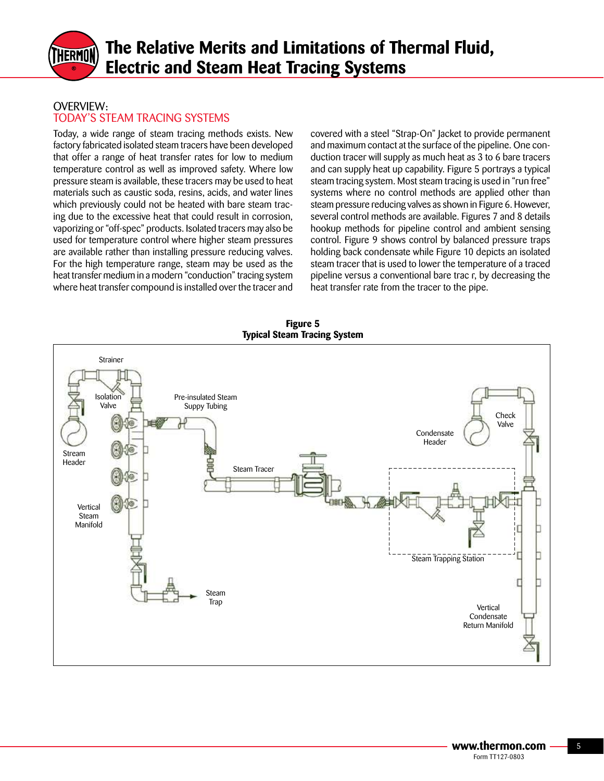

### OVERVIEW: TODAY'S STEAM TRACING SYSTEMS

Today, a wide range of steam tracing methods exists. New factory fabricated isolated steam tracers have been developed that offer a range of heat transfer rates for low to medium temperature control as well as improved safety. Where low pressure steam is available, these tracers may be used to heat materials such as caustic soda, resins, acids, and water lines which previously could not be heated with bare steam tracing due to the excessive heat that could result in corrosion, vaporizing or "off-spec" products. Isolated tracers may also be used for temperature control where higher steam pressures are available rather than installing pressure reducing valves. For the high temperature range, steam may be used as the heat transfer medium in a modern "conduction" tracing system where heat transfer compound is installed over the tracer and

covered with a steel "Strap-On" Jacket to provide permanent and maximum contact at the surface of the pipeline. One conduction tracer will supply as much heat as 3 to 6 bare tracers and can supply heat up capability. Figure 5 portrays a typical steam tracing system. Most steam tracing is used in "run free" systems where no control methods are applied other than steam pressure reducing valves as shown in Figure 6. However, several control methods are available. Figures 7 and 8 details hookup methods for pipeline control and ambient sensing control. Figure 9 shows control by balanced pressure traps holding back condensate while Figure 10 depicts an isolated steam tracer that is used to lower the temperature of a traced pipeline versus a conventional bare trac r, by decreasing the heat transfer rate from the tracer to the pipe.

**Figure 5 Typical Steam Tracing System**

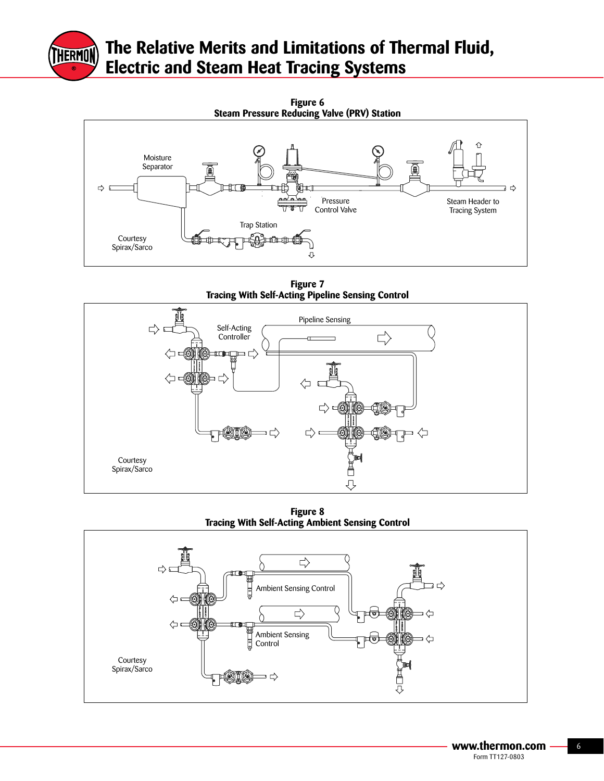



**Figure 7 Tracing With Self-Acting Pipeline Sensing Control**



**Figure 8 Tracing With Self-Acting Ambient Sensing Control**

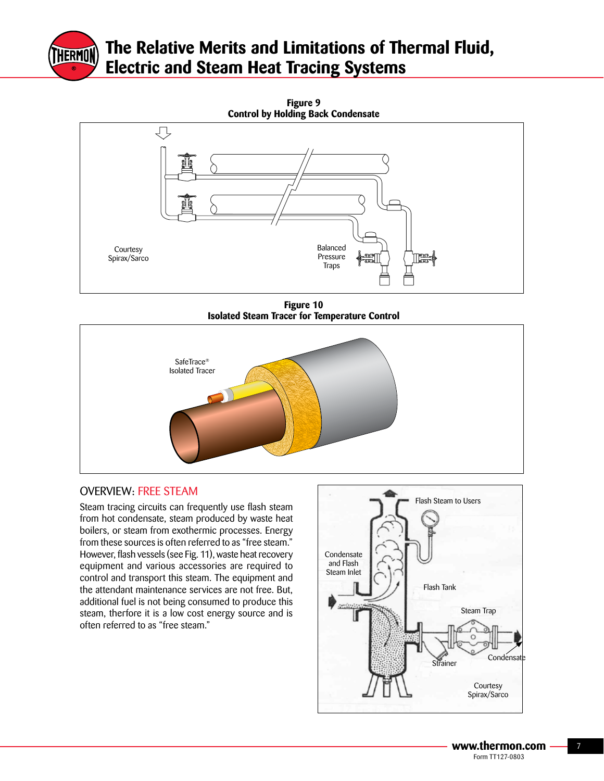



**Figure 10 Isolated Steam Tracer for Temperature Control**



## OVERVIEW: FREE STEAM

Steam tracing circuits can frequently use flash steam from hot condensate, steam produced by waste heat boilers, or steam from exothermic processes. Energy from these sources is often referred to as "free steam." However, flash vessels (see Fig. 11), waste heat recovery equipment and various accessories are required to control and transport this steam. The equipment and the attendant maintenance services are not free. But, additional fuel is not being consumed to produce this steam, therfore it is a low cost energy source and is often referred to as "free steam."

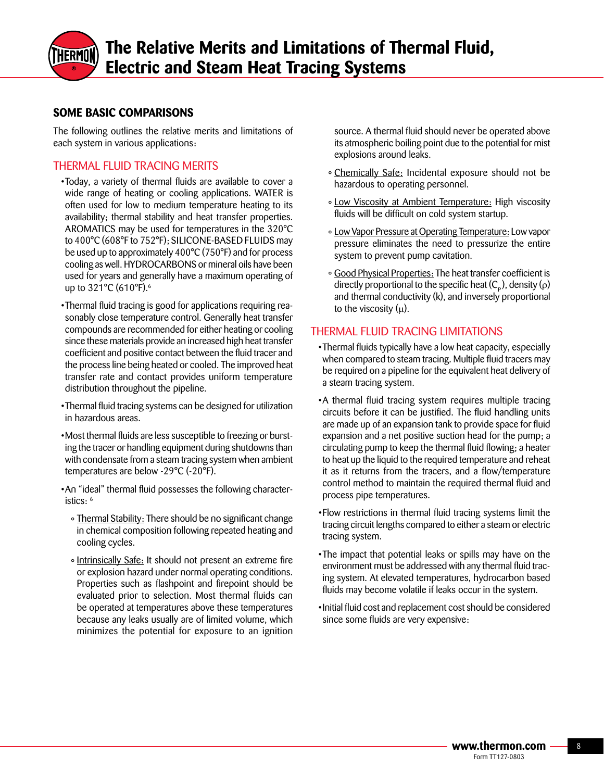## **SOME BASIC COMPARISONS**

The following outlines the relative merits and limitations of each system in various applications:

### THERMAL FLUID TRACING MERITS

- •Today, a variety of thermal fluids are available to cover a wide range of heating or cooling applications. WATER is often used for low to medium temperature heating to its availability; thermal stability and heat transfer properties. AROMATICS may be used for temperatures in the 320°C to 400°C (608°F to 752°F); SILICONE-BASED FLUIDS may be used up to approximately  $400^{\circ}$ C (750 $^{\circ}$ F) and for process cooling as well. HYDROCARBONS or mineral oils have been used for years and generally have a maximum operating of up to 321°C (610°F).<sup>6</sup>
- •Thermal fluid tracing is good for applications requiring reasonably close temperature control. Generally heat transfer compounds are recommended for either heating or cooling since these materials provide an increased high heat transfer coefficient and positive contact between the fluid tracer and the process line being heated or cooled. The improved heat transfer rate and contact provides uniform temperature distribution throughout the pipeline.
- Thermal fluid tracing systems can be designed for utilization in hazardous areas.
- •Most thermal fluids are less susceptible to freezing or bursting the tracer or handling equipment during shutdowns than with condensate from a steam tracing system when ambient temperatures are below -29°C (-20°F).
- •An "ideal" thermal fluid possesses the following characteristics: 6
	- ° Thermal Stability: There should be no significant change in chemical composition following repeated heating and cooling cycles.
	- Intrinsically Safe: It should not present an extreme fire or explosion hazard under normal operating conditions. Properties such as flashpoint and firepoint should be evaluated prior to selection. Most thermal fluids can be operated at temperatures above these temperatures because any leaks usually are of limited volume, which minimizes the potential for exposure to an ignition

source. A thermal fluid should never be operated above its atmospheric boiling point due to the potential for mist explosions around leaks.

- ° Chemically Safe: Incidental exposure should not be hazardous to operating personnel.
- ° Low Viscosity at Ambient Temperature: High viscosity fluids will be difficult on cold system startup.
- ° Low Vapor Pressure at Operating Temperature: Low vapor pressure eliminates the need to pressurize the entire system to prevent pump cavitation.
- ° Good Physical Properties: The heat transfer coefficient is directly proportional to the specific heat  $(C_{\rm p})$ , density (ρ) and thermal conductivity (k), and inversely proportional to the viscosity  $(\mu)$ .

### THERMAL FLUID TRACING LIMITATIONS

- •Thermal fluids typically have a low heat capacity, especially when compared to steam tracing. Multiple fluid tracers may be required on a pipeline for the equivalent heat delivery of a steam tracing system.
- •A thermal fluid tracing system requires multiple tracing circuits before it can be justified. The fluid handling units are made up of an expansion tank to provide space for fluid expansion and a net positive suction head for the pump; a circulating pump to keep the thermal fluid flowing; a heater to heat up the liquid to the required temperature and reheat it as it returns from the tracers, and a flow/temperature control method to maintain the required thermal fluid and process pipe temperatures.
- •Flow restrictions in thermal fluid tracing systems limit the tracing circuit lengths compared to either a steam or electric tracing system.
- •The impact that potential leaks or spills may have on the environment must be addressed with any thermal fluid tracing system. At elevated temperatures, hydrocarbon based fluids may become volatile if leaks occur in the system.
- Initial fluid cost and replacement cost should be considered since some fluids are very expensive: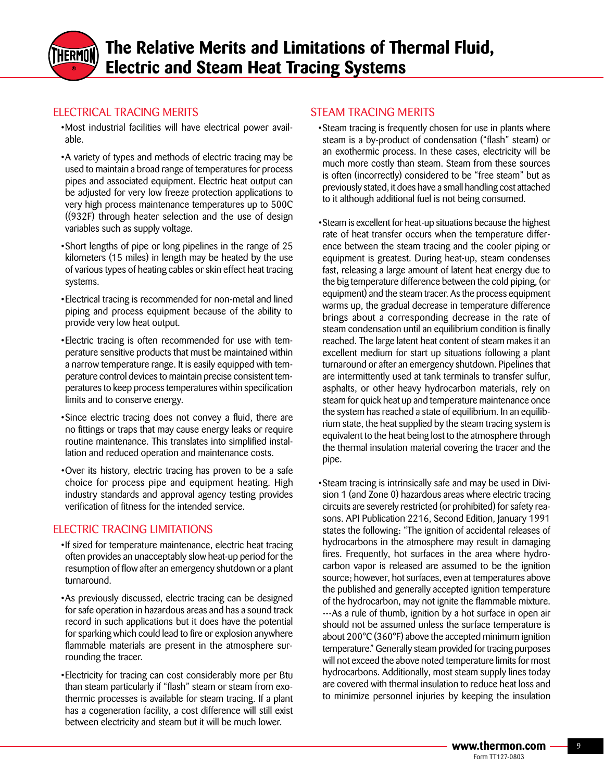

## ELECTRICAL TRACING MERITS

- •Most industrial facilities will have electrical power available.
- A variety of types and methods of electric tracing may be used to maintain a broad range of temperatures for process pipes and associated equipment. Electric heat output can be adjusted for very low freeze protection applications to very high process maintenance temperatures up to 500C ((932F) through heater selection and the use of design variables such as supply voltage.
- •Short lengths of pipe or long pipelines in the range of 25 kilometers (15 miles) in length may be heated by the use of various types of heating cables or skin effect heat tracing systems.
- •Electrical tracing is recommended for non-metal and lined piping and process equipment because of the ability to provide very low heat output.
- •Electric tracing is often recommended for use with temperature sensitive products that must be maintained within a narrow temperature range. It is easily equipped with temperature control devices to maintain precise consistent temperatures to keep process temperatures within specification limits and to conserve energy.
- •Since electric tracing does not convey a fluid, there are no fittings or traps that may cause energy leaks or require routine maintenance. This translates into simplified installation and reduced operation and maintenance costs.
- •Over its history, electric tracing has proven to be a safe choice for process pipe and equipment heating. High industry standards and approval agency testing provides verification of fitness for the intended service.

## **FLECTRIC TRACING LIMITATIONS**

- •If sized for temperature maintenance, electric heat tracing often provides an unacceptably slow heat-up period for the resumption of flow after an emergency shutdown or a plant turnaround.
- •As previously discussed, electric tracing can be designed for safe operation in hazardous areas and has a sound track record in such applications but it does have the potential for sparking which could lead to fire or explosion anywhere flammable materials are present in the atmosphere surrounding the tracer.
- •Electricity for tracing can cost considerably more per Btu than steam particularly if "flash" steam or steam from exothermic processes is available for steam tracing. If a plant has a cogeneration facility, a cost difference will still exist between electricity and steam but it will be much lower.

## STEAM TRACING MERITS

- •Steam tracing is frequently chosen for use in plants where steam is a by-product of condensation ("flash" steam) or an exothermic process. In these cases, electricity will be much more costly than steam. Steam from these sources is often (incorrectly) considered to be "free steam" but as previously stated, it does have a small handling cost attached to it although additional fuel is not being consumed.
- Steam is excellent for heat-up situations because the highest rate of heat transfer occurs when the temperature difference between the steam tracing and the cooler piping or equipment is greatest. During heat-up, steam condenses fast, releasing a large amount of latent heat energy due to the big temperature difference between the cold piping, (or equipment) and the steam tracer. As the process equipment warms up, the gradual decrease in temperature difference brings about a corresponding decrease in the rate of steam condensation until an equilibrium condition is finally reached. The large latent heat content of steam makes it an excellent medium for start up situations following a plant turnaround or after an emergency shutdown. Pipelines that are intermittently used at tank terminals to transfer sulfur, asphalts, or other heavy hydrocarbon materials, rely on steam for quick heat up and temperature maintenance once the system has reached a state of equilibrium. In an equilibrium state, the heat supplied by the steam tracing system is equivalent to the heat being lost to the atmosphere through the thermal insulation material covering the tracer and the pipe.
- •Steam tracing is intrinsically safe and may be used in Division 1 (and Zone 0) hazardous areas where electric tracing circuits are severely restricted (or prohibited) for safety reasons. API Publication 2216, Second Edition, January 1991 states the following: "The ignition of accidental releases of hydrocarbons in the atmosphere may result in damaging fires. Frequently, hot surfaces in the area where hydrocarbon vapor is released are assumed to be the ignition source; however, hot surfaces, even at temperatures above the published and generally accepted ignition temperature of the hydrocarbon, may not ignite the flammable mixture. ---As a rule of thumb, ignition by a hot surface in open air should not be assumed unless the surface temperature is about 200°C (360°F) above the accepted minimum ignition temperature." Generally steam provided for tracing purposes will not exceed the above noted temperature limits for most hydrocarbons. Additionally, most steam supply lines today are covered with thermal insulation to reduce heat loss and to minimize personnel injuries by keeping the insulation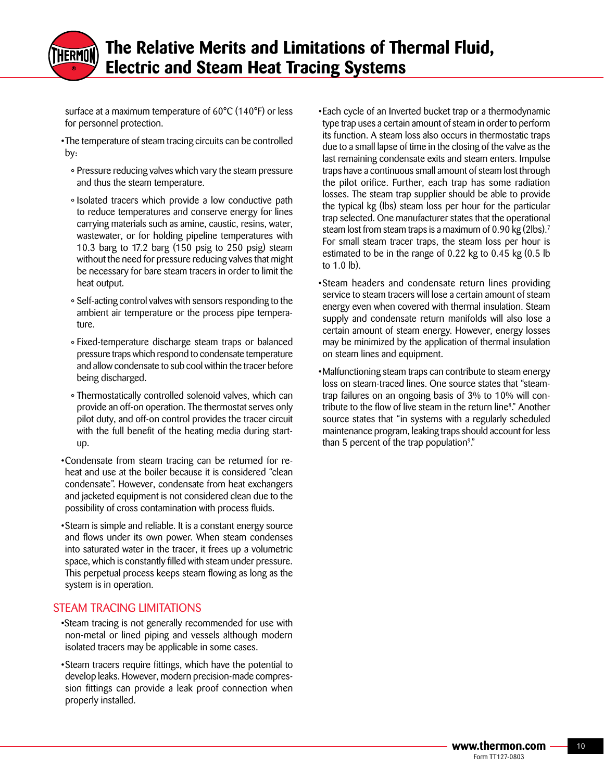surface at a maximum temperature of 60°C (140°F) or less for personnel protection.

- •The temperature of steam tracing circuits can be controlled by:
	- ° Pressure reducing valves which vary the steam pressure and thus the steam temperature.
	- ° Isolated tracers which provide a low conductive path to reduce temperatures and conserve energy for lines carrying materials such as amine, caustic, resins, water, wastewater, or for holding pipeline temperatures with 10.3 barg to 17.2 barg (150 psig to 250 psig) steam without the need for pressure reducing valves that might be necessary for bare steam tracers in order to limit the heat output.
	- ° Self-acting control valves with sensors responding to the ambient air temperature or the process pipe temperature.
	- °Fixed-temperature discharge steam traps or balanced pressure traps which respond to condensate temperature and allow condensate to sub cool within the tracer before being discharged.
	- ° Thermostatically controlled solenoid valves, which can provide an off-on operation. The thermostat serves only pilot duty, and off-on control provides the tracer circuit with the full benefit of the heating media during startup.
- •Condensate from steam tracing can be returned for reheat and use at the boiler because it is considered "clean condensate". However, condensate from heat exchangers and jacketed equipment is not considered clean due to the possibility of cross contamination with process fluids.
- •Steam is simple and reliable. It is a constant energy source and flows under its own power. When steam condenses into saturated water in the tracer, it frees up a volumetric space, which is constantly filled with steam under pressure. This perpetual process keeps steam flowing as long as the system is in operation.

## STEAM TRACING LIMITATIONS

- •Steam tracing is not generally recommended for use with non-metal or lined piping and vessels although modern isolated tracers may be applicable in some cases.
- Steam tracers require fittings, which have the potential to develop leaks. However, modern precision-made compression fittings can provide a leak proof connection when properly installed.

•Each cycle of an Inverted bucket trap or a thermodynamic type trap uses a certain amount of steam in order to perform its function. A steam loss also occurs in thermostatic traps due to a small lapse of time in the closing of the valve as the last remaining condensate exits and steam enters. Impulse traps have a continuous small amount of steam lost through the pilot orifice. Further, each trap has some radiation losses. The steam trap supplier should be able to provide the typical kg (lbs) steam loss per hour for the particular trap selected. One manufacturer states that the operational steam lost from steam traps is a maximum of 0.90 kg  $(2 \text{lbs})$ .<sup>7</sup> For small steam tracer traps, the steam loss per hour is estimated to be in the range of 0.22 kg to 0.45 kg (0.5 lb to 1.0 lb).

- •Steam headers and condensate return lines providing service to steam tracers will lose a certain amount of steam energy even when covered with thermal insulation. Steam supply and condensate return manifolds will also lose a certain amount of steam energy. However, energy losses may be minimized by the application of thermal insulation on steam lines and equipment.
- •Malfunctioning steam traps can contribute to steam energy loss on steam-traced lines. One source states that "steamtrap failures on an ongoing basis of 3% to 10% will contribute to the flow of live steam in the return line<sup>8</sup> ." Another source states that "in systems with a regularly scheduled maintenance program, leaking traps should account for less than 5 percent of the trap population<sup>9</sup>."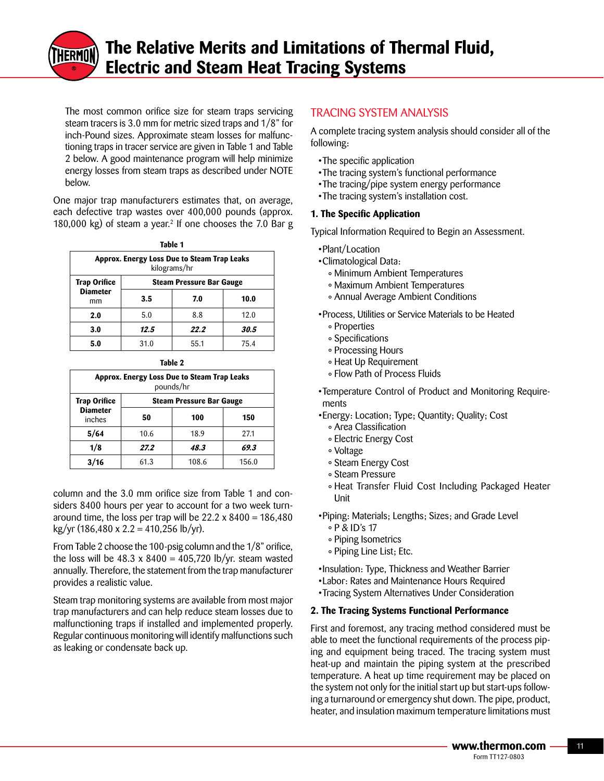

 The most common orifice size for steam traps servicing steam tracers is 3.0 mm for metric sized traps and 1/8" for inch-Pound sizes. Approximate steam losses for malfunctioning traps in tracer service are given in Table 1 and Table 2 below. A good maintenance program will help minimize energy losses from steam traps as described under NOTE below.

One major trap manufacturers estimates that, on average, each defective trap wastes over 400,000 pounds (approx. 180,000 kg) of steam a year.<sup>2</sup> If one chooses the 7.0 Bar g

**Table 1**

| iadie i                                                     |                                 |      |      |  |  |
|-------------------------------------------------------------|---------------------------------|------|------|--|--|
| Approx. Energy Loss Due to Steam Trap Leaks<br>kilograms/hr |                                 |      |      |  |  |
| <b>Trap Orifice</b><br><b>Diameter</b><br>mm                | <b>Steam Pressure Bar Gauge</b> |      |      |  |  |
|                                                             | 3.5                             | 7.0  | 10.0 |  |  |
| 2.0                                                         | 5.0                             | 8.8  | 12.0 |  |  |
| 3.0                                                         | 12.5                            | 22.2 | 30.5 |  |  |
| 5.0                                                         | 31.0                            | 55.1 | 75.4 |  |  |

| ۰.<br>۰.<br>۰,<br>× |
|---------------------|
|---------------------|

| Approx. Energy Loss Due to Steam Trap Leaks<br>pounds/hr |                                 |       |       |  |  |
|----------------------------------------------------------|---------------------------------|-------|-------|--|--|
| <b>Trap Orifice</b><br><b>Diameter</b><br>inches         | <b>Steam Pressure Bar Gauge</b> |       |       |  |  |
|                                                          | 50                              | 100   | 150   |  |  |
| 5/64                                                     | 10.6                            | 18.9  | 27.1  |  |  |
| 1/8                                                      | 27.2                            | 48.3  | 69.3  |  |  |
|                                                          | 61.3                            | 108.6 | 156.0 |  |  |

column and the 3.0 mm orifice size from Table 1 and considers 8400 hours per year to account for a two week turnaround time, the loss per trap will be  $22.2 \times 8400 = 186,480$ kg/yr (186,480 x 2.2 = 410,256 lb/yr).

From Table 2 choose the 100-psig column and the 1/8" orifice, the loss will be  $48.3 \times 8400 = 405,720 \text{ lb/yr.}$  steam wasted annually. Therefore, the statement from the trap manufacturer provides a realistic value.

Steam trap monitoring systems are available from most major trap manufacturers and can help reduce steam losses due to malfunctioning traps if installed and implemented properly. Regular continuous monitoring will identify malfunctions such as leaking or condensate back up.

### TRACING SYSTEM ANALYSIS

A complete tracing system analysis should consider all of the following:

- •The specific application
- •The tracing system's functional performance
- •The tracing/pipe system energy performance
- •The tracing system's installation cost.

#### **1. The Specific Application**

Typical Information Required to Begin an Assessment.

- •Plant/Location
- •Climatological Data:
	- ° Minimum Ambient Temperatures
	- °MaximumAmbientTemperatures
	- ° Annual Average Ambient Conditions

•Process, Utilities or Service Materials to be Heated

- ° Properties
- ° Specifications
- ° Processing Hours
- ° Heat Up Requirement
- ° Flow Path of Process Fluids

•Temperature Control of Product and Monitoring Requirements

- •Energy:Location;Type;Quantity;Quality;Cost
	- ° Area Classification
	- ° Electric Energy Cost
	- ° Voltage
	- ° Steam Energy Cost
	- ° Steam Pressure
	- ° Heat Transfer Fluid Cost Including Packaged Heater Unit

• Piping: Materials; Lengths; Sizes; and Grade Level

- ° P & ID's 17
- ° Piping Isometrics
- ° Piping Line List; Etc.

•Insulation: Type, Thickness and Weather Barrier

- •Labor: Rates and Maintenance Hours Required
- Tracing System Alternatives Under Consideration

#### **2. The Tracing Systems Functional Performance**

First and foremost, any tracing method considered must be able to meet the functional requirements of the process piping and equipment being traced. The tracing system must heat-up and maintain the piping system at the prescribed temperature. A heat up time requirement may be placed on the system not only for the initial start up but start-ups following a turnaround or emergency shut down. The pipe, product, heater, and insulation maximum temperature limitations must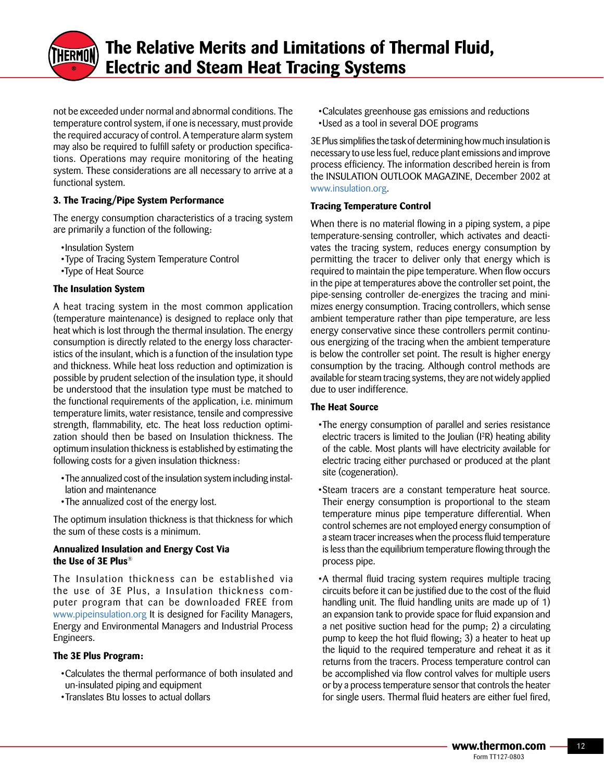

not be exceeded under normal and abnormal conditions. The temperature control system, if one is necessary, must provide the required accuracy of control. A temperature alarm system may also be required to fulfill safety or production specifications. Operations may require monitoring of the heating system. These considerations are all necessary to arrive at a functional system.

#### **3. The Tracing/Pipe System Performance**

The energy consumption characteristics of a tracing system are primarily a function of the following:

- •Insulation System
- Type of Tracing System Temperature Control
- •Type of Heat Source

#### **The Insulation System**

A heat tracing system in the most common application (temperature maintenance) is designed to replace only that heat which is lost through the thermal insulation. The energy consumption is directly related to the energy loss characteristics of the insulant, which is a function of the insulation type and thickness. While heat loss reduction and optimization is possible by prudent selection of the insulation type, it should be understood that the insulation type must be matched to the functional requirements of the application, i.e. minimum temperature limits, water resistance, tensile and compressive strength, flammability, etc. The heat loss reduction optimization should then be based on Insulation thickness. The optimum insulation thickness is established by estimating the following costs for a given insulation thickness:

- •The annualized cost of the insulation system including installation and maintenance
- •The annualized cost of the energy lost.

The optimum insulation thickness is that thickness for which the sum of these costs is a minimum.

#### **Annualized Insulation and Energy Cost Via the Use of 3E Plus**®

The Insulation thickness can be established via the use of 3E Plus, a Insulation thickness computer program that can be downloaded FREE from www.pipeinsulation.org It is designed for Facility Managers, Energy and Environmental Managers and Industrial Process Engineers.

#### **The 3E Plus Program:**

- •Calculates the thermal performance of both insulated and un-insulated piping and equipment
- •Translates Btu losses to actual dollars

•Calculates greenhouse gas emissions and reductions •Used as a tool in several DOE programs

3E Plus simplifies the task of determining how much insulation is necessary to use less fuel, reduce plant emissions and improve process efficiency. The information described herein is from the INSULATION OUTLOOK MAGAZINE, December 2002 at www.insulation.org.

#### **Tracing Temperature Control**

When there is no material flowing in a piping system, a pipe temperature-sensing controller, which activates and deactivates the tracing system, reduces energy consumption by permitting the tracer to deliver only that energy which is required to maintain the pipe temperature. When flow occurs in the pipe at temperatures above the controller set point, the pipe-sensing controller de-energizes the tracing and minimizes energy consumption. Tracing controllers, which sense ambient temperature rather than pipe temperature, are less energy conservative since these controllers permit continuous energizing of the tracing when the ambient temperature is below the controller set point. The result is higher energy consumption by the tracing. Although control methods are available for steam tracing systems, they are not widely applied due to user indifference.

#### **The Heat Source**

- •The energy consumption of parallel and series resistance electric tracers is limited to the Joulian (I<sup>2</sup>R) heating ability of the cable. Most plants will have electricity available for electric tracing either purchased or produced at the plant site (cogeneration).
- •Steam tracers are a constant temperature heat source. Their energy consumption is proportional to the steam temperature minus pipe temperature differential. When control schemes are not employed energy consumption of a steam tracer increases when the process fluid temperature is less than the equilibrium temperature flowing through the process pipe.
- •A thermal fluid tracing system requires multiple tracing circuits before it can be justified due to the cost of the fluid handling unit. The fluid handling units are made up of 1) an expansion tank to provide space for fluid expansion and a net positive suction head for the pump; 2) a circulating pump to keep the hot fluid flowing; 3) a heater to heat up the liquid to the required temperature and reheat it as it returns from the tracers. Process temperature control can be accomplished via flow control valves for multiple users or by a process temperature sensor that controls the heater for single users. Thermal fluid heaters are either fuel fired,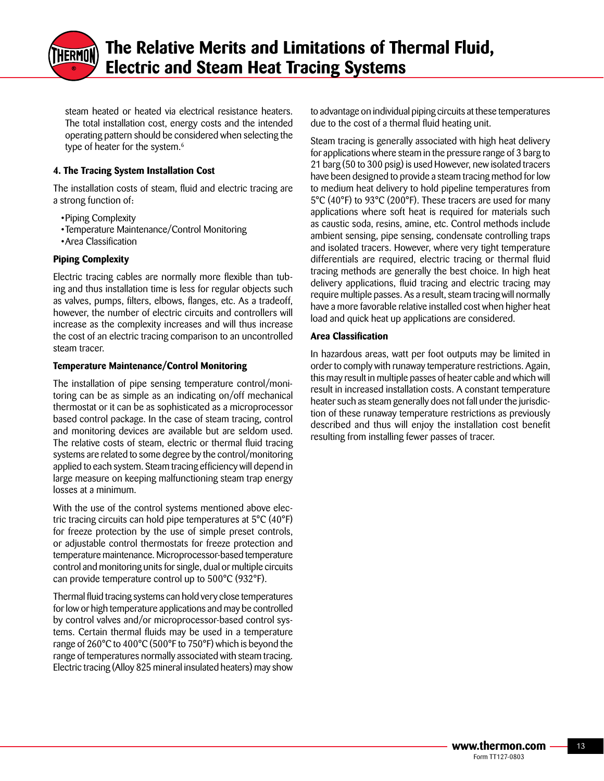

steam heated or heated via electrical resistance heaters. The total installation cost, energy costs and the intended operating pattern should be considered when selecting the type of heater for the system.<sup>6</sup>

#### **4. The Tracing System Installation Cost**

The installation costs of steam, fluid and electric tracing are a strong function of:

- Piping Complexity
- Temperature Maintenance/Control Monitoring
- Area Classification

#### **Piping Complexity**

Electric tracing cables are normally more flexible than tubing and thus installation time is less for regular objects such as valves, pumps, filters, elbows, flanges, etc. As a tradeoff, however, the number of electric circuits and controllers will increase as the complexity increases and will thus increase the cost of an electric tracing comparison to an uncontrolled steam tracer.

#### **Temperature Maintenance/Control Monitoring**

The installation of pipe sensing temperature control/monitoring can be as simple as an indicating on/off mechanical thermostat or it can be as sophisticated as a microprocessor based control package. In the case of steam tracing, control and monitoring devices are available but are seldom used. The relative costs of steam, electric or thermal fluid tracing systems are related to some degree by the control/monitoring applied to each system. Steam tracing efficiency will depend in large measure on keeping malfunctioning steam trap energy losses at a minimum.

With the use of the control systems mentioned above electric tracing circuits can hold pipe temperatures at 5°C (40°F) for freeze protection by the use of simple preset controls, or adjustable control thermostats for freeze protection and temperature maintenance. Microprocessor-based temperature control and monitoring units for single, dual or multiple circuits can provide temperature control up to 500°C (932°F).

Thermal fluid tracing systems can hold very close temperatures for low or high temperature applications and may be controlled by control valves and/or microprocessor-based control systems. Certain thermal fluids may be used in a temperature range of 260°C to 400°C (500°F to 750°F) which is beyond the range of temperatures normally associated with steam tracing. Electric tracing (Alloy 825 mineral insulated heaters) may show to advantage on individual piping circuits at these temperatures due to the cost of a thermal fluid heating unit.

Steam tracing is generally associated with high heat delivery for applications where steam in the pressure range of 3 barg to 21 barg (50 to 300 psig) is used However, new isolated tracers have been designed to provide a steam tracing method for low to medium heat delivery to hold pipeline temperatures from 5°C (40°F) to 93°C (200°F). These tracers are used for many applications where soft heat is required for materials such as caustic soda, resins, amine, etc. Control methods include ambient sensing, pipe sensing, condensate controlling traps and isolated tracers. However, where very tight temperature differentials are required, electric tracing or thermal fluid tracing methods are generally the best choice. In high heat delivery applications, fluid tracing and electric tracing may require multiple passes. As a result, steam tracing will normally have a more favorable relative installed cost when higher heat load and quick heat up applications are considered.

#### **Area Classification**

In hazardous areas, watt per foot outputs may be limited in order to comply with runaway temperature restrictions. Again, this may result in multiple passes of heater cable and which will result in increased installation costs. A constant temperature heater such as steam generally does not fall under the jurisdiction of these runaway temperature restrictions as previously described and thus will enjoy the installation cost benefit resulting from installing fewer passes of tracer.